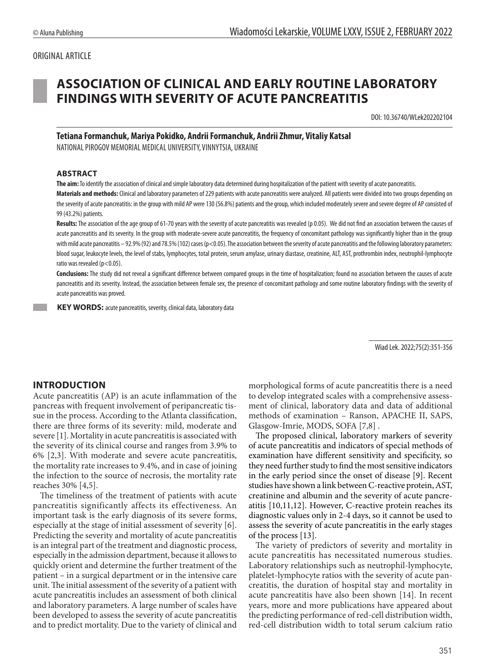### ORIGINAL ARTICLE



# **ASSOCIATION OF CLINICAL AND EARLY ROUTINE LABORATORY FINDINGS WITH SEVERITY OF ACUTE PANCREATITIS**

DOI: 10.36740/WLek202202104

### **Tetiana Formanchuk, Mariya Pokidko, Andrii Formanchuk, Andrii Zhmur, Vitaliy Katsal** NATIONAL PIROGOV MEMORIAL MEDICAL UNIVERSITY, VINNYTSIA, UKRAINE

### **ABSTRACT**

**The aim:** To identify the association of clinical and simple laboratory data determined during hospitalization of the patient with severity of acute pancreatitis.

**Materials and methods:** Clinical and laboratory parameters of 229 patients with acute pancreatitis were analyzed. All patients were divided into two groups depending on the severity of acute pancreatitis: in the group with mild AP were 130 (56.8%) patients and the group, which included moderately severe and severe degree of AP consisted of 99 (43.2%) patients.

**Results:** The association of the age group of 61-70 years with the severity of acute pancreatitis was revealed (p 0.05). We did not find an association between the causes of acute pancreatitis and its severity. In the group with moderate-severe acute pancreatitis, the frequency of concomitant pathology was significantly higher than in the group with mild acute pancreatitis - 92.9% (92) and 78.5% (102) cases (p<0.05). The association between the severity of acute pancreatitis and the following laboratory parameters: blood sugar, leukocyte levels, the level of stabs, lymphocytes, total protein, serum amylase, urinary diastase, creatinine, ALT, AST, prothrombin index, neutrophil-lymphocyte ratio was revealed (p<0.05).

**Conclusions:** The study did not reveal a significant difference between compared groups in the time of hospitalization; found no association between the causes of acute pancreatitis and its severity. Instead, the association between female sex, the presence of concomitant pathology and some routine laboratory findings with the severity of acute pancreatitis was proved.

**KEY WORDS:** acute pancreatitis, severity, clinical data, laboratory data

Wiad Lek. 2022;75(2):351-356

### **INTRODUCTION**

Acute pancreatitis (AP) is an acute inflammation of the pancreas with frequent involvement of peripancreatic tissue in the process. According to the Atlanta classification, there are three forms of its severity: mild, moderate and severe [1]. Mortality in acute pancreatitis is associated with the severity of its clinical course and ranges from 3.9% to 6% [2,3]. With moderate and severe acute pancreatitis, the mortality rate increases to 9.4%, and in case of joining the infection to the source of necrosis, the mortality rate reaches 30% [4,5].

The timeliness of the treatment of patients with acute pancreatitis significantly affects its effectiveness. An important task is the early diagnosis of its severe forms, especially at the stage of initial assessment of severity [6]. Predicting the severity and mortality of acute pancreatitis is an integral part of the treatment and diagnostic process, especially in the admission department, because it allows to quickly orient and determine the further treatment of the patient – in a surgical department or in the intensive care unit. The initial assessment of the severity of a patient with acute pancreatitis includes an assessment of both clinical and laboratory parameters. A large number of scales have been developed to assess the severity of acute pancreatitis and to predict mortality. Due to the variety of clinical and

morphological forms of acute pancreatitis there is a need to develop integrated scales with a comprehensive assessment of clinical, laboratory data and data of additional methods of examination – Ranson, APACHE II, SAPS, Glasgow-Imrie, MODS, SOFA [7,8] .

The proposed clinical, laboratory markers of severity of acute pancreatitis and indicators of special methods of examination have different sensitivity and specificity, so they need further study to find the most sensitive indicators in the early period since the onset of disease [9]. Recent studies have shown a link between C-reactive protein, AST, creatinine and albumin and the severity of acute pancreatitis [10,11,12]. However, C-reactive protein reaches its diagnostic values only in 2-4 days, so it cannot be used to assess the severity of acute pancreatitis in the early stages of the process [13].

The variety of predictors of severity and mortality in acute pancreatitis has necessitated numerous studies. Laboratory relationships such as neutrophil-lymphocyte, platelet-lymphocyte ratios with the severity of acute pancreatitis, the duration of hospital stay and mortality in acute pancreatitis have also been shown [14]. In recent years, more and more publications have appeared about the predicting performance of red-cell distribution width, red-cell distribution width to total serum calcium ratio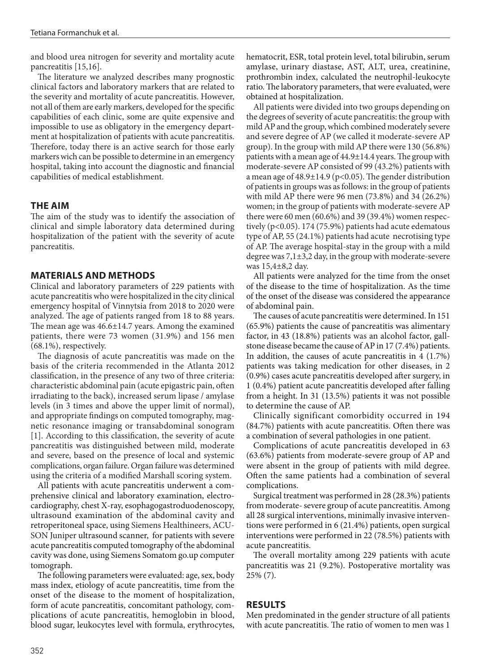and blood urea nitrogen for severity and mortality acute pancreatitis [15,16].

The literature we analyzed describes many prognostic clinical factors and laboratory markers that are related to the severity and mortality of acute pancreatitis. However, not all of them are early markers, developed for the specific capabilities of each clinic, some are quite expensive and impossible to use as obligatory in the emergency department at hospitalization of patients with acute pancreatitis. Therefore, today there is an active search for those early markers wich can be possible to determine in an emergency hospital, taking into account the diagnostic and financial capabilities of medical establishment.

### **THE AIM**

The aim of the study was to identify the association of clinical and simple laboratory data determined during hospitalization of the patient with the severity of acute pancreatitis.

## **MATERIALS AND METHODS**

Clinical and laboratory parameters of 229 patients with acute pancreatitis who were hospitalized in the city clinical emergency hospital of Vinnytsia from 2018 to 2020 were analyzed. The age of patients ranged from 18 to 88 years. The mean age was 46.6±14.7 years. Among the examined patients, there were 73 women (31.9%) and 156 men (68.1%), respectively.

The diagnosis of acute pancreatitis was made on the basis of the criteria recommended in the Atlanta 2012 classification, in the presence of any two of three criteria: characteristic abdominal pain (acute epigastric pain, often irradiating to the back), increased serum lipase / amylase levels (in 3 times and above the upper limit of normal), and appropriate findings on computed tomography, magnetic resonance imaging or transabdominal sonogram [1]. According to this classification, the severity of acute pancreatitis was distinguished between mild, moderate and severe, based on the presence of local and systemic complications, organ failure. Organ failure was determined using the criteria of a modified Marshall scoring system.

All patients with acute pancreatitis underwent a comprehensive clinical and laboratory examination, electrocardiography, chest X-ray, esophagogastroduodenoscopy, ultrasound examination of the abdominal cavity and retroperitoneal space, using Siemens Healthineers, ACU-SON Juniper ultrasound scanner, for patients with severe acute pancreatitis computed tomography of the abdominal cavity was done, using Siemens Somatom go.up computer tomograph.

The following parameters were evaluated: age, sex, body mass index, etiology of acute pancreatitis, time from the onset of the disease to the moment of hospitalization, form of acute pancreatitis, concomitant pathology, complications of acute pancreatitis, hemoglobin in blood, blood sugar, leukocytes level with formula, erythrocytes, hematocrit, ESR, total protein level, total bilirubin, serum amylase, urinary diastase, AST, ALT, urea, creatinine, prothrombin index, calculated the neutrophil-leukocyte ratio. The laboratory parameters, that were evaluated, were obtained at hospitalization.

All patients were divided into two groups depending on the degrees of severity of acute pancreatitis: the group with mild AP and the group, which combined moderately severe and severe degree of AP (we called it moderate-severe AP group). In the group with mild AP there were 130 (56.8%) patients with a mean age of 44.9±14.4 years. The group with moderate-severe AP consisted of 99 (43.2%) patients with a mean age of 48.9±14.9 (p<0.05). The gender distribution of patients in groups was as follows: in the group of patients with mild AP there were 96 men (73.8%) and 34 (26.2%) women; in the group of patients with moderate-severe AP there were 60 men (60.6%) and 39 (39.4%) women respectively (p<0.05). 174 (75.9%) patients had acute edematous type of AP, 55 (24.1%) patients had acute necrotising type of AP. The average hospital-stay in the group with a mild degree was 7,1±3,2 day, in the group with moderate-severe was 15,4±8,2 day.

All patients were analyzed for the time from the onset of the disease to the time of hospitalization. As the time of the onset of the disease was considered the appearance of abdominal pain.

The causes of acute pancreatitis were determined. In 151 (65.9%) patients the cause of pancreatitis was alimentary factor, in 43 (18.8%) patients was an alcohol factor, gallstone disease became the cause of AP in 17 (7.4%) patients. In addition, the causes of acute pancreatitis in 4 (1.7%) patients was taking medication for other diseases, in 2 (0.9%) cases acute pancreatitis developed after surgery, in 1 (0.4%) patient acute pancreatitis developed after falling from a height. In 31 (13.5%) patients it was not possible to determine the cause of AP.

Clinically significant comorbidity occurred in 194 (84.7%) patients with acute pancreatitis. Often there was a combination of several pathologies in one patient.

Complications of acute pancreatitis developed in 63 (63.6%) patients from moderate-severe group of AP and were absent in the group of patients with mild degree. Often the same patients had a combination of several complications.

Surgical treatment was performed in 28 (28.3%) patients from moderate- severe group of acute pancreatitis. Among all 28 surgical interventions, minimally invasive interventions were performed in 6 (21.4%) patients, open surgical interventions were performed in 22 (78.5%) patients with acute pancreatitis.

The overall mortality among 229 patients with acute pancreatitis was 21 (9.2%). Postoperative mortality was 25% (7).

### **RESULTS**

Men predominated in the gender structure of all patients with acute pancreatitis. The ratio of women to men was 1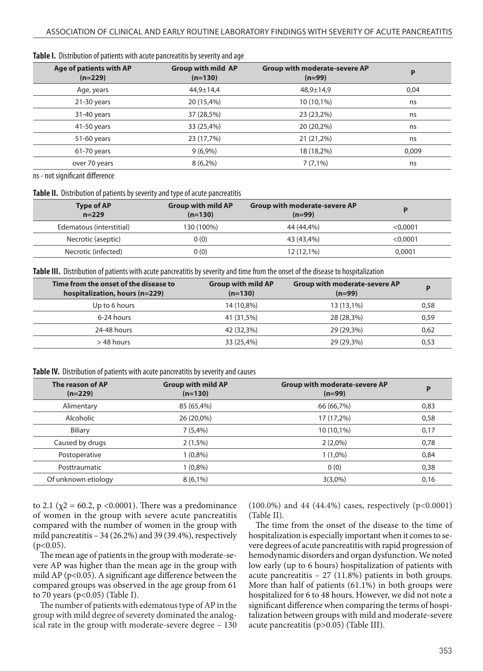| Age of patients with AP<br>$(n=229)$ | <b>Group with mild AP</b><br>$(n=130)$ | <b>Group with moderate-severe AP</b><br>$(n=99)$ | Ρ     |  |
|--------------------------------------|----------------------------------------|--------------------------------------------------|-------|--|
| Age, years                           | 44,9±14,4                              | 48,9±14,9                                        | 0,04  |  |
| 21-30 years                          | 20 (15,4%)                             | 10 (10,1%)                                       | ns    |  |
| 31-40 years                          | 37 (28,5%)                             | 23 (23,2%)                                       | ns    |  |
| 41-50 years                          | 33 (25,4%)                             | 20 (20,2%)                                       | ns    |  |
| 51-60 years                          | 23 (17,7%)                             | 21 (21,2%)                                       | ns    |  |
| 61-70 years                          | $9(6,9\%)$                             | 18 (18,2%)                                       | 0,009 |  |
| over 70 years                        | $8(6,2\%)$                             | $7(7,1\%)$                                       | ns    |  |
|                                      |                                        |                                                  |       |  |

### **Table I.** Distribution of patients with acute pancreatitis by severity and age

ns - not significant difference

#### **Table II.** Distribution of patients by severity and type of acute pancreatitis

| <b>Type of AP</b><br>$n = 229$ | <b>Group with mild AP</b><br>$(n=130)$ | <b>Group with moderate-severe AP</b><br>$(n=99)$ |          |
|--------------------------------|----------------------------------------|--------------------------------------------------|----------|
| Edematous (interstitial)       | 130 (100%)                             | 44 (44,4%)                                       | < 0.0001 |
| Necrotic (aseptic)             | 0(0)                                   | 43 (43.4%)                                       | < 0.0001 |
| Necrotic (infected)            | 0(0)                                   | $12(12,1\%)$                                     | 0.0001   |

**Table III.** Distribution of patients with acute pancreatitis by severity and time from the onset of the disease to hospitalization

| Time from the onset of the disease to<br>hospitalization, hours (n=229) | <b>Group with mild AP</b><br>$(n=130)$ | <b>Group with moderate-severe AP</b><br>$(n=99)$ | D    |
|-------------------------------------------------------------------------|----------------------------------------|--------------------------------------------------|------|
| Up to 6 hours                                                           | 14 (10,8%)                             | 13 (13,1%)                                       | 0,58 |
| 6-24 hours                                                              | 41 (31.5%)                             | 28 (28,3%)                                       | 0,59 |
| 24-48 hours                                                             | 42 (32.3%)                             | 29 (29.3%)                                       | 0,62 |
| $>$ 48 hours                                                            | 33 (25,4%)                             | 29 (29,3%)                                       | 0,53 |

#### **Table IV.** Distribution of patients with acute pancreatitis by severity and causes

| The reason of AP<br>$(n=229)$ | <b>Group with mild AP</b><br>$(n=130)$ | <b>Group with moderate-severe AP</b><br>$(n=99)$ | P    |
|-------------------------------|----------------------------------------|--------------------------------------------------|------|
| Alimentary                    | 85 (65,4%)                             | 66 (66,7%)                                       | 0,83 |
| Alcoholic                     | 26 (20,0%)                             | 17 (17,2%)                                       | 0,58 |
| <b>Biliary</b>                | 7(5,4%                                 | 10 (10,1%)                                       | 0,17 |
| Caused by drugs               | $2(1,5\%)$                             | $2(2,0\%)$                                       | 0,78 |
| Postoperative                 | 1 (0,8%)                               | $1(1,0\%)$                                       | 0,84 |
| Posttraumatic                 | $1(0,8\%)$                             | 0(0)                                             | 0,38 |
| Of unknown etiology           | $8(6,1\%)$                             | $3(3,0\%)$                                       | 0,16 |

to 2.1 ( $\chi$ 2 = 60.2, p <0.0001). There was a predominance of women in the group with severe acute pancreatitis compared with the number of women in the group with mild pancreatitis  $-34$  (26.2%) and 39 (39.4%), respectively  $(p<0.05)$ .

The mean age of patients in the group with moderate-severe AP was higher than the mean age in the group with mild AP (p<0.05). A significant age difference between the compared groups was observed in the age group from 61 to 70 years (p<0.05) (Table I).

The number of patients with edematous type of AP in the group with mild degree of severety dominated the analogical rate in the group with moderate-severe degree – 130 (100.0%) and 44 (44.4%) cases, respectively (p<0.0001) (Table II).

The time from the onset of the disease to the time of hospitalization is especially important when it comes to severe degrees of acute pancreatitis with rapid progression of hemodynamic disorders and organ dysfunction. We noted low early (up to 6 hours) hospitalization of patients with acute pancreatitis – 27 (11.8%) patients in both groups. More than half of patients (61.1%) in both groups were hospitalized for 6 to 48 hours. However, we did not note a significant difference when comparing the terms of hospitalization between groups with mild and moderate-severe acute pancreatitis (p>0.05) (Table III).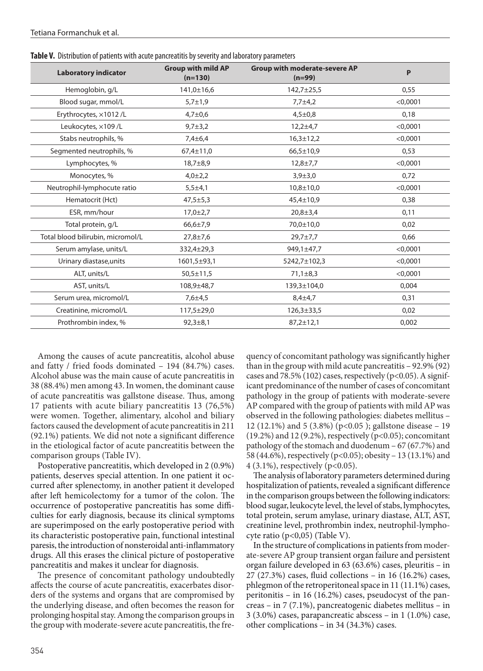| <b>Laboratory indicator</b>       | <b>Group with mild AP</b><br>$(n=130)$ | <b>Group with moderate-severe AP</b><br>$(n=99)$ | P        |
|-----------------------------------|----------------------------------------|--------------------------------------------------|----------|
| Hemoglobin, g/L                   | 141,0±16,6                             | $142,7+25,5$                                     | 0,55     |
| Blood sugar, mmol/L               | $5,7 \pm 1,9$                          | $7,7+4,2$                                        | < 0,0001 |
| Erythrocytes, ×1012 /L            | $4,7 \pm 0.6$                          | $4,5 \pm 0.8$                                    | 0,18     |
| Leukocytes, x109/L                | $9,7 \pm 3,2$                          | $12,2+4,7$                                       | < 0,0001 |
| Stabs neutrophils, %              | $7,4 \pm 6,4$                          | $16,3 \pm 12,2$                                  | < 0,0001 |
| Segmented neutrophils, %          | $67,4 \pm 11,0$                        | $66,5 \pm 10,9$                                  | 0,53     |
| Lymphocytes, %                    | $18,7 \pm 8,9$                         | $12,8 \pm 7,7$                                   | < 0,0001 |
| Monocytes, %                      | $4,0{\pm}2,2$                          | $3,9+3,0$                                        | 0,72     |
| Neutrophil-lymphocute ratio       | $5,5+4,1$                              | $10,8 + 10,0$                                    | < 0,0001 |
| Hematocrit (Hct)                  | $47,5 \pm 5,3$                         | 45,4±10,9                                        | 0,38     |
| ESR, mm/hour                      | $17,0{\pm}2,7$                         | $20,8+3,4$                                       | 0,11     |
| Total protein, g/L                | $66,6{\pm}7,9$                         | 70,0±10,0                                        | 0,02     |
| Total blood bilirubin, micromol/L | $27,8 \pm 7,6$                         | $29,7 \pm 7,7$                                   | 0,66     |
| Serum amylase, units/L            | 332,4±29,3                             | 949,1±47,7                                       | < 0,0001 |
| Urinary diastase, units           | 1601,5±93,1                            | 5242,7±102,3                                     | < 0,0001 |
| ALT, units/L                      | $50,5 \pm 11,5$                        | $71,1\pm8,3$                                     | < 0,0001 |
| AST, units/L                      | 108,9±48,7                             | 139,3±104,0                                      | 0,004    |
| Serum urea, micromol/L            | $7,6+4,5$                              | $8,4+4,7$                                        | 0,31     |
| Creatinine, micromol/L            | $117,5 \pm 29,0$                       | $126,3 \pm 33,5$                                 | 0,02     |
| Prothrombin index, %              | $92,3 \pm 8,1$                         | $87,2 \pm 12,1$                                  | 0,002    |

**Table V.** Distribution of patients with acute pancreatitis by severity and laboratory parameters

Among the causes of acute pancreatitis, alcohol abuse and fatty / fried foods dominated – 194 (84.7%) cases. Alcohol abuse was the main cause of acute pancreatitis in 38 (88.4%) men among 43. In women, the dominant cause of acute pancreatitis was gallstone disease. Thus, among 17 patients with acute biliary pancreatitis 13 (76,5%) were women. Together, alimentary, alcohol and biliary factors caused the development of acute pancreatitis in 211 (92.1%) patients. We did not note a significant difference in the etiological factor of acute pancreatitis between the comparison groups (Table IV).

Postoperative pancreatitis, which developed in 2 (0.9%) patients, deserves special attention. In one patient it occurred after splenectomy, in another patient it developed after left hemicolectomy for a tumor of the colon. The occurrence of postoperative pancreatitis has some difficulties for early diagnosis, because its clinical symptoms are superimposed on the early postoperative period with its characteristic postoperative pain, functional intestinal paresis, the introduction of nonsteroidal anti-inflammatory drugs. All this erases the clinical picture of postoperative pancreatitis and makes it unclear for diagnosis.

The presence of concomitant pathology undoubtedly affects the course of acute pancreatitis, exacerbates disorders of the systems and organs that are compromised by the underlying disease, and often becomes the reason for prolonging hospital stay. Among the comparison groups in the group with moderate-severe acute pancreatitis, the frequency of concomitant pathology was significantly higher than in the group with mild acute pancreatitis – 92.9% (92) cases and 78.5% (102) cases, respectively ( $p<0.05$ ). A significant predominance of the number of cases of concomitant pathology in the group of patients with moderate-severe AP compared with the group of patients with mild AP was observed in the following pathologies: diabetes mellitus – 12 (12.1%) and 5 (3.8%) (p<0.05 ); gallstone disease – 19  $(19.2\%)$  and 12  $(9.2\%)$ , respectively  $(p<0.05)$ ; concomitant pathology of the stomach and duodenum – 67 (67.7%) and 58 (44.6%), respectively (p<0.05); obesity – 13 (13.1%) and 4 (3.1%), respectively (p<0.05).

The analysis of laboratory parameters determined during hospitalization of patients, revealed a significant difference in the comparison groups between the following indicators: blood sugar, leukocyte level, the level of stabs, lymphocytes, total protein, serum amylase, urinary diastase, ALT, AST, creatinine level, prothrombin index, neutrophil-lymphocyte ratio  $(p<0,05)$  (Table V).

In the structure of complications in patients from moderate-severe AP group transient organ failure and persistent organ failure developed in 63 (63.6%) cases, pleuritis – in 27 (27.3%) cases, fluid collections – in 16 (16.2%) cases, phlegmon of the retroperitoneal space in 11 (11.1%) cases, peritonitis – in 16 (16.2%) cases, pseudocyst of the pancreas – in 7 (7.1%), pancreatogenic diabetes mellitus – in 3 (3.0%) cases, parapancreatic abscess – in 1 (1.0%) case, other complications – in 34 (34.3%) cases.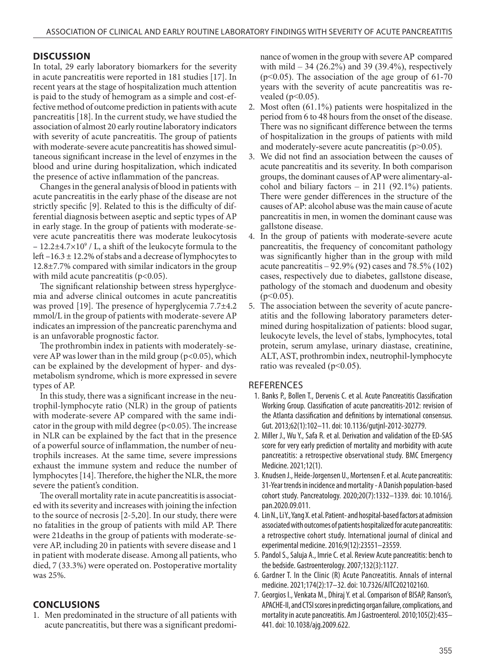## **DISCUSSION**

In total, 29 early laboratory biomarkers for the severity in acute pancreatitis were reported in 181 studies [17]. In recent years at the stage of hospitalization much attention is paid to the study of hemogram as a simple and cost-effective method of outcome prediction in patients with acute pancreatitis [18]. In the current study, we have studied the association of almost 20 early routine laboratory indicators with severity of acute pancreatitis. The group of patients with moderate-severe acute pancreatitis has showed simultaneous significant increase in the level of enzymes in the blood and urine during hospitalization, which indicated the presence of active inflammation of the pancreas.

Changes in the general analysis of blood in patients with acute pancreatitis in the early phase of the disease are not strictly specific [9]. Related to this is the difficulty of differential diagnosis between aseptic and septic types of AP in early stage. In the group of patients with moderate-severe acute pancreatitis there was moderate leukocytosis  $-12.2\pm4.7\times10^9$  / L, a shift of the leukocyte formula to the left –16.3 ± 12.2% of stabs and a decrease of lymphocytes to 12.8±7.7% compared with similar indicators in the group with mild acute pancreatitis (p<0.05).

The significant relationship between stress hyperglycemia and adverse clinical outcomes in acute pancreatitis was proved [19]. The presence of hyperglycemia 7.7±4.2 mmol/L in the group of patients with moderate-severe AP indicates an impression of the pancreatic parenchyma and is an unfavorable prognostic factor.

The prothrombin index in patients with moderately-severe AP was lower than in the mild group (p<0.05), which can be explained by the development of hyper- and dysmetabolism syndrome, which is more expressed in severe types of AP.

In this study, there was a significant increase in the neutrophil-lymphocyte ratio (NLR) in the group of patients with moderate-severe AP compared with the same indicator in the group with mild degree ( $p<0.05$ ). The increase in NLR can be explained by the fact that in the presence of a powerful source of inflammation, the number of neutrophils increases. At the same time, severe impressions exhaust the immune system and reduce the number of lymphocytes [14]. Therefore, the higher the NLR, the more severe the patient's condition.

The overall mortality rate in acute pancreatitis is associated with its severity and increases with joining the infection to the source of necrosis [2-5,20]. In our study, there were no fatalities in the group of patients with mild AP. There were 21deaths in the group of patients with moderate-severe AP, including 20 in patients with severe disease and 1 in patient with moderate disease. Among all patients, who died, 7 (33.3%) were operated on. Postoperative mortality was 25%.

# **CONCLUSIONS**

1. Men predominated in the structure of all patients with acute pancreatitis, but there was a significant predomi-

nance of women in the group with severe AP compared with mild  $-34$  (26.2%) and 39 (39.4%), respectively  $(p<0.05)$ . The association of the age group of 61-70 years with the severity of acute pancreatitis was revealed ( $p<0.05$ ).

- 2. Most often (61.1%) patients were hospitalized in the period from 6 to 48 hours from the onset of the disease. There was no significant difference between the terms of hospitalization in the groups of patients with mild and moderately-severe acute pancreatitis (p>0.05).
- 3. We did not find an association between the causes of acute pancreatitis and its severity. In both comparison groups, the dominant causes of AP were alimentary-alcohol and biliary factors – in 211 (92.1%) patients. There were gender differences in the structure of the causes of AP: alcohol abuse was the main cause of acute pancreatitis in men, in women the dominant cause was gallstone disease.
- 4. In the group of patients with moderate-severe acute pancreatitis, the frequency of concomitant pathology was significantly higher than in the group with mild acute pancreatitis  $-92.9\%$  (92) cases and 78.5% (102) cases, respectively due to diabetes, gallstone disease, pathology of the stomach and duodenum and obesity  $(p<0.05)$ .
- 5. The association between the severity of acute pancreatitis and the following laboratory parameters determined during hospitalization of patients: blood sugar, leukocyte levels, the level of stabs, lymphocytes, total protein, serum amylase, urinary diastase, creatinine, ALT, AST, prothrombin index, neutrophil-lymphocyte ratio was revealed ( $p<0.05$ ).

### **REFERENCES**

- 1. Banks P., Bollen T., Dervenis C. et al. Acute Pancreatitis Classification Working Group. Classification of acute pancreatitis-2012: revision of the Atlanta classification and definitions by international consensus. Gut. 2013;62(1):102–11. doi: 10.1136/gutjnl-2012-302779.
- 2. Miller J., Wu Y., Safa R. et al. Derivation and validation of the ED-SAS score for very early prediction of mortality and morbidity with acute pancreatitis: a retrospective observational study. BMC Emergency Medicine. 2021;12(1).
- 3. Knudsen J., Heide-Jorgensen U., Mortensen F. et al. Acute pancreatitis: 31-Year trends in incidence and mortality - A Danish population-based cohort study. Pancreatology. 2020;20(7):1332–1339. doi: 10.1016/j. pan.2020.09.011.
- 4. Lin N., Li Y., Yang X. et al. Patient- and hospital-based factors at admission associated with outcomes of patients hospitalized for acute pancreatitis: a retrospective cohort study. International journal of clinical and experimental medicine. 2016;9(12):23551–23559.
- 5. Pandol S., Saluja A., Imrie C. et al. Review Acute pancreatitis: bench to the bedside. Gastroenterology. 2007;132(3):1127.
- 6. Gardner T. In the Clinic (R) Acute Pancreatitis. Annals of internal medicine. 2021;174(2):17–32. doi: 10.7326/AITC202102160.
- 7. Georgios I., Venkata M., Dhiraj Y. et al. Comparison of BISAP, Ranson's, APACHE-II, and CTSI scores in predicting organ failure, complications, and mortality in acute pancreatitis. Am J Gastroenterol. 2010;105(2):435– 441. doi: 10.1038/ajg.2009.622.